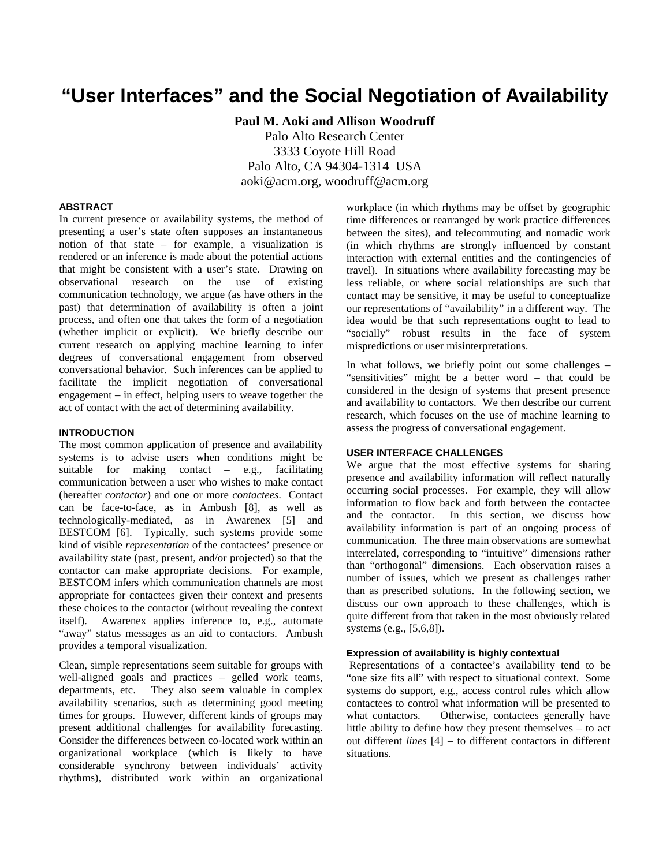# **"User Interfaces" and the Social Negotiation of Availability**

**Paul M. Aoki and Allison Woodruff** Palo Alto Research Center 3333 Coyote Hill Road Palo Alto, CA 94304-1314 USA aoki@acm.org, woodruff@acm.org

#### **ABSTRACT**

In current presence or availability systems, the method of presenting a user's state often supposes an instantaneous notion of that state – for example, a visualization is rendered or an inference is made about the potential actions that might be consistent with a user's state. Drawing on observational research on the use of existing communication technology, we argue (as have others in the past) that determination of availability is often a joint process, and often one that takes the form of a negotiation (whether implicit or explicit). We briefly describe our current research on applying machine learning to infer degrees of conversational engagement from observed conversational behavior. Such inferences can be applied to facilitate the implicit negotiation of conversational engagement – in effect, helping users to weave together the act of contact with the act of determining availability.

# **INTRODUCTION**

The most common application of presence and availability systems is to advise users when conditions might be suitable for making contact – e.g., facilitating communication between a user who wishes to make contact (hereafter *contactor*) and one or more *contactees*. Contact can be face-to-face, as in Ambush [8], as well as technologically-mediated, as in Awarenex [5] and BESTCOM [6]. Typically, such systems provide some kind of visible *representation* of the contactees' presence or availability state (past, present, and/or projected) so that the contactor can make appropriate decisions. For example, BESTCOM infers which communication channels are most appropriate for contactees given their context and presents these choices to the contactor (without revealing the context itself). Awarenex applies inference to, e.g., automate "away" status messages as an aid to contactors. Ambush provides a temporal visualization.

Clean, simple representations seem suitable for groups with well-aligned goals and practices – gelled work teams, departments, etc. They also seem valuable in complex availability scenarios, such as determining good meeting times for groups. However, different kinds of groups may present additional challenges for availability forecasting. Consider the differences between co-located work within an organizational workplace (which is likely to have considerable synchrony between individuals' activity rhythms), distributed work within an organizational workplace (in which rhythms may be offset by geographic time differences or rearranged by work practice differences between the sites), and telecommuting and nomadic work (in which rhythms are strongly influenced by constant interaction with external entities and the contingencies of travel). In situations where availability forecasting may be less reliable, or where social relationships are such that contact may be sensitive, it may be useful to conceptualize our representations of "availability" in a different way. The idea would be that such representations ought to lead to "socially" robust results in the face of system mispredictions or user misinterpretations.

In what follows, we briefly point out some challenges – "sensitivities" might be a better word – that could be considered in the design of systems that present presence and availability to contactors. We then describe our current research, which focuses on the use of machine learning to assess the progress of conversational engagement.

#### **USER INTERFACE CHALLENGES**

We argue that the most effective systems for sharing presence and availability information will reflect naturally occurring social processes. For example, they will allow information to flow back and forth between the contactee and the contactor. In this section, we discuss how availability information is part of an ongoing process of communication. The three main observations are somewhat interrelated, corresponding to "intuitive" dimensions rather than "orthogonal" dimensions. Each observation raises a number of issues, which we present as challenges rather than as prescribed solutions. In the following section, we discuss our own approach to these challenges, which is quite different from that taken in the most obviously related systems (e.g., [5,6,8]).

#### **Expression of availability is highly contextual**

Representations of a contactee's availability tend to be "one size fits all" with respect to situational context. Some systems do support, e.g., access control rules which allow contactees to control what information will be presented to what contactors. Otherwise, contactees generally have little ability to define how they present themselves – to act out different *lines* [4] – to different contactors in different situations.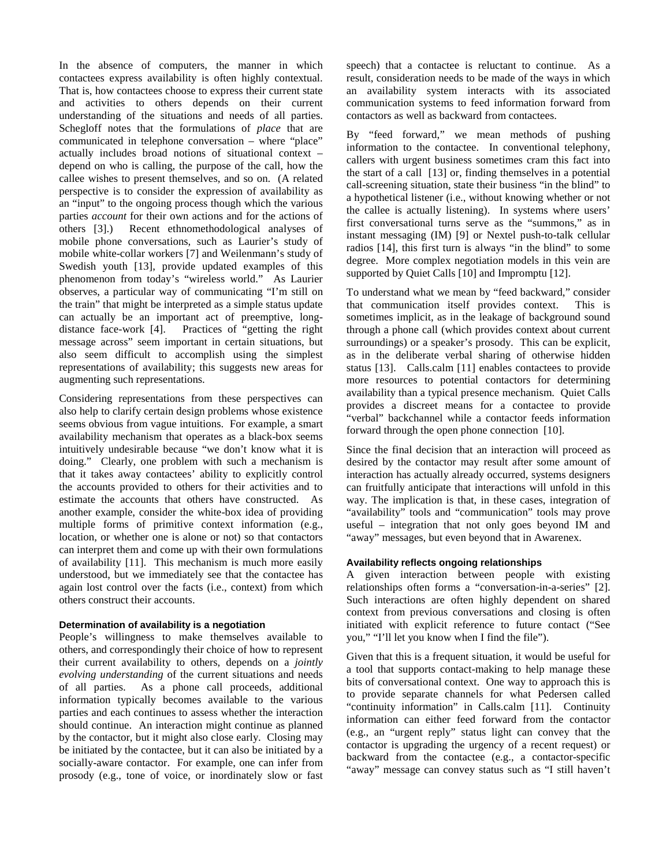In the absence of computers, the manner in which contactees express availability is often highly contextual. That is, how contactees choose to express their current state and activities to others depends on their current understanding of the situations and needs of all parties. Schegloff notes that the formulations of *place* that are communicated in telephone conversation – where "place" actually includes broad notions of situational context – depend on who is calling, the purpose of the call, how the callee wishes to present themselves, and so on. (A related perspective is to consider the expression of availability as an "input" to the ongoing process though which the various parties *account* for their own actions and for the actions of others [3].) Recent ethnomethodological analyses of mobile phone conversations, such as Laurier's study of mobile white-collar workers [7] and Weilenmann's study of Swedish youth [13], provide updated examples of this phenomenon from today's "wireless world." As Laurier observes, a particular way of communicating "I'm still on the train" that might be interpreted as a simple status update can actually be an important act of preemptive, longdistance face-work [4]. Practices of "getting the right message across" seem important in certain situations, but also seem difficult to accomplish using the simplest representations of availability; this suggests new areas for augmenting such representations.

Considering representations from these perspectives can also help to clarify certain design problems whose existence seems obvious from vague intuitions. For example, a smart availability mechanism that operates as a black-box seems intuitively undesirable because "we don't know what it is doing." Clearly, one problem with such a mechanism is that it takes away contactees' ability to explicitly control the accounts provided to others for their activities and to estimate the accounts that others have constructed. As another example, consider the white-box idea of providing multiple forms of primitive context information (e.g., location, or whether one is alone or not) so that contactors can interpret them and come up with their own formulations of availability [11]. This mechanism is much more easily understood, but we immediately see that the contactee has again lost control over the facts (i.e., context) from which others construct their accounts.

# **Determination of availability is a negotiation**

People's willingness to make themselves available to others, and correspondingly their choice of how to represent their current availability to others, depends on a *jointly evolving understanding* of the current situations and needs of all parties. As a phone call proceeds, additional information typically becomes available to the various parties and each continues to assess whether the interaction should continue. An interaction might continue as planned by the contactor, but it might also close early. Closing may be initiated by the contactee, but it can also be initiated by a socially-aware contactor. For example, one can infer from prosody (e.g., tone of voice, or inordinately slow or fast

speech) that a contactee is reluctant to continue. As a result, consideration needs to be made of the ways in which an availability system interacts with its associated communication systems to feed information forward from contactors as well as backward from contactees.

By "feed forward," we mean methods of pushing information to the contactee. In conventional telephony, callers with urgent business sometimes cram this fact into the start of a call [13] or, finding themselves in a potential call-screening situation, state their business "in the blind" to a hypothetical listener (i.e., without knowing whether or not the callee is actually listening). In systems where users' first conversational turns serve as the "summons," as in instant messaging (IM) [9] or Nextel push-to-talk cellular radios [14], this first turn is always "in the blind" to some degree. More complex negotiation models in this vein are supported by Quiet Calls [10] and Impromptu [12].

To understand what we mean by "feed backward," consider that communication itself provides context. This is sometimes implicit, as in the leakage of background sound through a phone call (which provides context about current surroundings) or a speaker's prosody. This can be explicit, as in the deliberate verbal sharing of otherwise hidden status [13]. Calls.calm [11] enables contactees to provide more resources to potential contactors for determining availability than a typical presence mechanism. Quiet Calls provides a discreet means for a contactee to provide "verbal" backchannel while a contactor feeds information forward through the open phone connection [10].

Since the final decision that an interaction will proceed as desired by the contactor may result after some amount of interaction has actually already occurred, systems designers can fruitfully anticipate that interactions will unfold in this way. The implication is that, in these cases, integration of "availability" tools and "communication" tools may prove useful – integration that not only goes beyond IM and "away" messages, but even beyond that in Awarenex.

# **Availability reflects ongoing relationships**

A given interaction between people with existing relationships often forms a "conversation-in-a-series" [2]. Such interactions are often highly dependent on shared context from previous conversations and closing is often initiated with explicit reference to future contact ("See you," "I'll let you know when I find the file").

Given that this is a frequent situation, it would be useful for a tool that supports contact-making to help manage these bits of conversational context. One way to approach this is to provide separate channels for what Pedersen called "continuity information" in Calls.calm [11]. Continuity information can either feed forward from the contactor (e.g., an "urgent reply" status light can convey that the contactor is upgrading the urgency of a recent request) or backward from the contactee (e.g., a contactor-specific "away" message can convey status such as "I still haven't